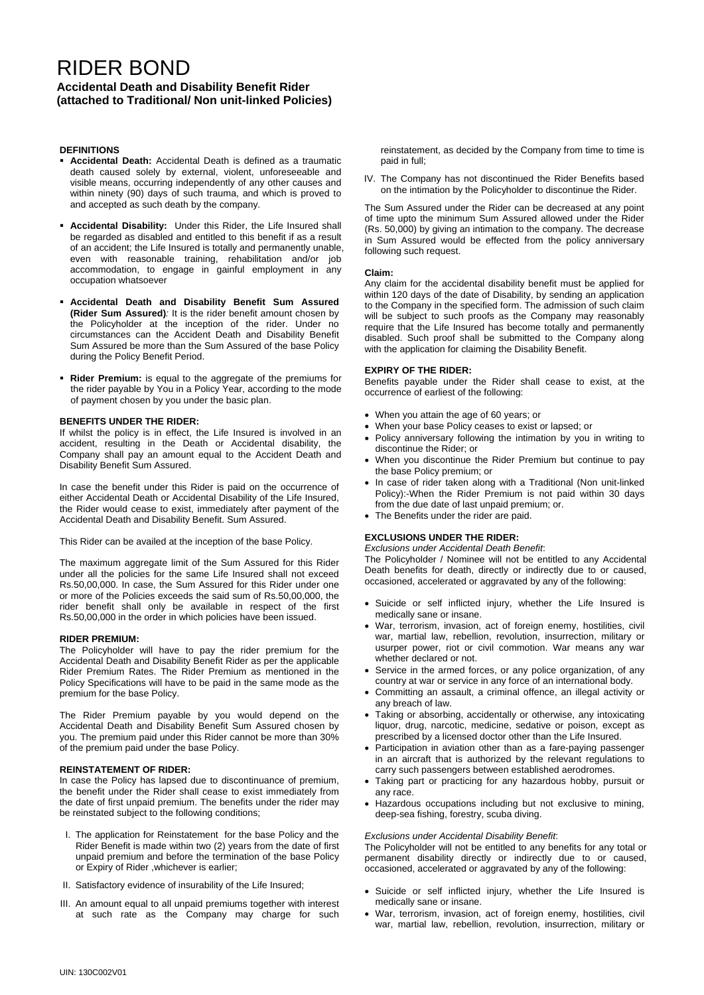# RIDER BOND

# **Accidental Death and Disability Benefit Rider (attached to Traditional/ Non unit-linked Policies)**

# **DEFINITIONS**

- **Accidental Death:** Accidental Death is defined as a traumatic death caused solely by external, violent, unforeseeable and visible means, occurring independently of any other causes and within ninety (90) days of such trauma, and which is proved to and accepted as such death by the company.
- **Accidental Disability:** Under this Rider, the Life Insured shall be regarded as disabled and entitled to this benefit if as a result of an accident; the Life Insured is totally and permanently unable, even with reasonable training, rehabilitation and/or job accommodation, to engage in gainful employment in any occupation whatsoever
- **Accidental Death and Disability Benefit Sum Assured (Rider Sum Assured)***:* It is the rider benefit amount chosen by the Policyholder at the inception of the rider. Under no circumstances can the Accident Death and Disability Benefit Sum Assured be more than the Sum Assured of the base Policy during the Policy Benefit Period.
- **Rider Premium:** is equal to the aggregate of the premiums for the rider payable by You in a Policy Year, according to the mode of payment chosen by you under the basic plan.

## **BENEFITS UNDER THE RIDER:**

If whilst the policy is in effect, the Life Insured is involved in an accident, resulting in the Death or Accidental disability, the Company shall pay an amount equal to the Accident Death and Disability Benefit Sum Assured.

In case the benefit under this Rider is paid on the occurrence of either Accidental Death or Accidental Disability of the Life Insured, the Rider would cease to exist, immediately after payment of the Accidental Death and Disability Benefit. Sum Assured.

This Rider can be availed at the inception of the base Policy.

The maximum aggregate limit of the Sum Assured for this Rider under all the policies for the same Life Insured shall not exceed Rs.50,00,000. In case, the Sum Assured for this Rider under one or more of the Policies exceeds the said sum of Rs.50,00,000, the rider benefit shall only be available in respect of the first Rs.50,00,000 in the order in which policies have been issued.

## **RIDER PREMIUM:**

The Policyholder will have to pay the rider premium for the Accidental Death and Disability Benefit Rider as per the applicable Rider Premium Rates. The Rider Premium as mentioned in the Policy Specifications will have to be paid in the same mode as the premium for the base Policy.

The Rider Premium payable by you would depend on the Accidental Death and Disability Benefit Sum Assured chosen by you. The premium paid under this Rider cannot be more than 30% of the premium paid under the base Policy.

## **REINSTATEMENT OF RIDER:**

In case the Policy has lapsed due to discontinuance of premium, the benefit under the Rider shall cease to exist immediately from the date of first unpaid premium. The benefits under the rider may be reinstated subject to the following conditions;

- I. The application for Reinstatement for the base Policy and the Rider Benefit is made within two (2) years from the date of first unpaid premium and before the termination of the base Policy or Expiry of Rider ,whichever is earlier;
- II. Satisfactory evidence of insurability of the Life Insured;
- III. An amount equal to all unpaid premiums together with interest at such rate as the Company may charge for such

reinstatement, as decided by the Company from time to time is paid in full;

IV. The Company has not discontinued the Rider Benefits based on the intimation by the Policyholder to discontinue the Rider.

The Sum Assured under the Rider can be decreased at any point of time upto the minimum Sum Assured allowed under the Rider (Rs. 50,000) by giving an intimation to the company. The decrease in Sum Assured would be effected from the policy anniversary following such request.

#### **Claim:**

Any claim for the accidental disability benefit must be applied for within 120 days of the date of Disability, by sending an application to the Company in the specified form. The admission of such claim will be subject to such proofs as the Company may reasonably require that the Life Insured has become totally and permanently disabled. Such proof shall be submitted to the Company along with the application for claiming the Disability Benefit.

## **EXPIRY OF THE RIDER:**

Benefits payable under the Rider shall cease to exist, at the occurrence of earliest of the following:

- When you attain the age of 60 years; or
- When your base Policy ceases to exist or lapsed; or
- Policy anniversary following the intimation by you in writing to discontinue the Rider; or
- When you discontinue the Rider Premium but continue to pay the base Policy premium; or
- In case of rider taken along with a Traditional (Non unit-linked Policy):-When the Rider Premium is not paid within 30 days from the due date of last unpaid premium; or.
- The Benefits under the rider are paid.

## **EXCLUSIONS UNDER THE RIDER:**

*Exclusions under Accidental Death Benefit*:

The Policyholder / Nominee will not be entitled to any Accidental Death benefits for death, directly or indirectly due to or caused, occasioned, accelerated or aggravated by any of the following:

- Suicide or self inflicted injury, whether the Life Insured is medically sane or insane.
- War, terrorism, invasion, act of foreign enemy, hostilities, civil war, martial law, rebellion, revolution, insurrection, military or usurper power, riot or civil commotion. War means any war whether declared or not.
- Service in the armed forces, or any police organization, of any country at war or service in any force of an international body.
- Committing an assault, a criminal offence, an illegal activity or any breach of law.
- Taking or absorbing, accidentally or otherwise, any intoxicating liquor, drug, narcotic, medicine, sedative or poison, except as prescribed by a licensed doctor other than the Life Insured.
- Participation in aviation other than as a fare-paying passenger in an aircraft that is authorized by the relevant regulations to carry such passengers between established aerodromes.
- Taking part or practicing for any hazardous hobby, pursuit or any race.
- Hazardous occupations including but not exclusive to mining, deep-sea fishing, forestry, scuba diving.

## *Exclusions under Accidental Disability Benefit*:

The Policyholder will not be entitled to any benefits for any total or permanent disability directly or indirectly due to or caused, occasioned, accelerated or aggravated by any of the following:

- Suicide or self inflicted injury, whether the Life Insured is medically sane or insane.
- War, terrorism, invasion, act of foreign enemy, hostilities, civil war, martial law, rebellion, revolution, insurrection, military or